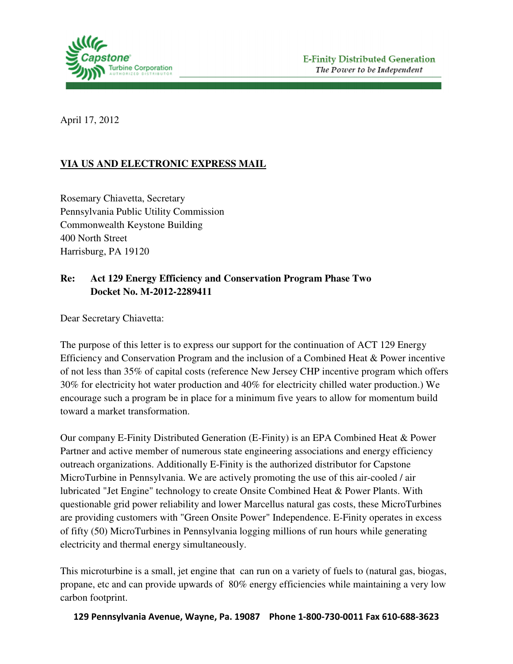

April 17, 2012

## **VIA US AND ELECTRONIC EXPRESS MAIL**

Rosemary Chiavetta, Secretary Pennsylvania Public Utility Commission Commonwealth Keystone Building 400 North Street Harrisburg, PA 19120

## **Re:** Act 129 Energy Efficiency and Conservation Program Phase Two<br>Docket No. M-2012-2289411  **Docket No. M-2012-2289411**

Dear Secretary Chiavetta:

The purpose of this letter is to express our support for the continuation of ACT 129 Energy Efficiency and Conservation Program and the inclusion of a Combined Heat & Power incentive of not less than 35% of capital costs (reference New Jersey CHP incentive program which offers 30% for electricity hot water production and 40% for electricity chilled water production.) We encourage such a program be in place for a minimum five years to allow for momentum build toward a market transformation.

Our company E-Finity Distributed Generation (E-Finity) is an EPA Combined Heat & Power Partner and active member of numerous state engineering associations and energy efficiency outreach organizations. Additionally E-Finity is the authorized distributor for Capstone Capstone MicroTurbine in Pennsylvania. We are actively promoting the use of this air-cooled / air lubricated "Jet Engine" technology to create Onsite Combined Heat & Power Plants. With questionable grid power reliability and lower Marcellus natural gas costs, these MicroTurbines are providing customers with "Green Onsite Power" Independence. E-Finity operates in excess are providing customers with "Green Onsite Power" Independence. E-Finity operates in exc<br>of fifty (50) MicroTurbines in Pennsylvania logging millions of run hours while generating electricity and thermal energy simultaneously.

This microturbine is a small, jet engine that can run on a variety of fuels to (natural gas, biogas, propane, etc and can provide upwards of 80% energy efficiencies while maintaining a very low carbon footprint.